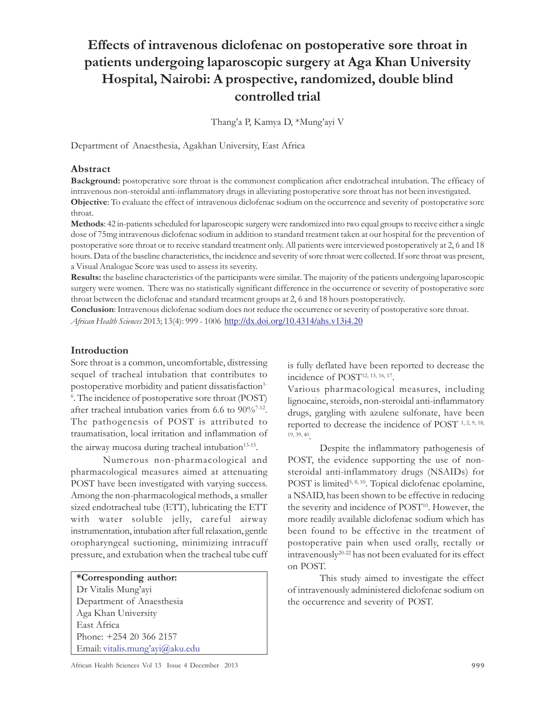# Effects of intravenous diclofenac on postoperative sore throat in patients undergoing laparoscopic surgery at Aga Khan University Hospital, Nairobi: A prospective, randomized, double blind controlled trial

Thang'a P, Kamya D, \*Mung'ayi V

Department of Anaesthesia, Agakhan University, East Africa

### Abstract

Background: postoperative sore throat is the commonest complication after endotracheal intubation. The efficacy of intravenous non-steroidal anti-inflammatory drugs in alleviating postoperative sore throat has not been investigated. Objective: To evaluate the effect of intravenous diclofenac sodium on the occurrence and severity of postoperative sore throat.

Methods: 42 in-patients scheduled for laparoscopic surgery were randomized into two equal groups to receive either a single dose of 75mg intravenous diclofenac sodium in addition to standard treatment taken at our hospital for the prevention of postoperative sore throat or to receive standard treatment only. All patients were interviewed postoperatively at 2, 6 and 18 hours. Data of the baseline characteristics, the incidence and severity of sore throat were collected. If sore throat was present, a Visual Analogue Score was used to assess its severity.

Results: the baseline characteristics of the participants were similar. The majority of the patients undergoing laparoscopic surgery were women. There was no statistically significant difference in the occurrence or severity of postoperative sore throat between the diclofenac and standard treatment groups at 2, 6 and 18 hours postoperatively.

Conclusion: Intravenous diclofenac sodium does not reduce the occurrence or severity of postoperative sore throat. African Health Sciences 2013; 13(4): 999 - 1006 http://dx.doi.org/10.4314/ahs.v13i4.20

### Introduction

Sore throat is a common, uncomfortable, distressing sequel of tracheal intubation that contributes to postoperative morbidity and patient dissatisfaction<sup>1-</sup> 6 . The incidence of postoperative sore throat (POST) after tracheal intubation varies from 6.6 to  $90\%/0^{7-12}$ . The pathogenesis of POST is attributed to traumatisation, local irritation and inflammation of the airway mucosa during tracheal intubation<sup>13-15</sup>.

Numerous non-pharmacological and pharmacological measures aimed at attenuating POST have been investigated with varying success. Among the non-pharmacological methods, a smaller sized endotracheal tube (ETT), lubricating the ETT with water soluble jelly, careful airway instrumentation, intubation after full relaxation, gentle oropharyngeal suctioning, minimizing intracuff pressure, and extubation when the tracheal tube cuff

#### \*Corresponding author:

Dr Vitalis Mung'ayi Department of Anaesthesia Aga Khan University East Africa Phone: +254 20 366 2157 Email: vitalis.mung'ayi@aku.edu is fully deflated have been reported to decrease the incidence of POST<sup>12, 13, 16, 17</sup>.

Various pharmacological measures, including lignocaine, steroids, non-steroidal anti-inflammatory drugs, gargling with azulene sulfonate, have been reported to decrease the incidence of POST<sup>1, 2, 9, 18,</sup> 19, 39, 40 .

Despite the inflammatory pathogenesis of POST, the evidence supporting the use of nonsteroidal anti-inflammatory drugs (NSAIDs) for POST is limited<sup>5, 8, 10</sup>. Topical diclofenac epolamine, a NSAID, has been shown to be effective in reducing the severity and incidence of POST<sup>10</sup>. However, the more readily available diclofenac sodium which has been found to be effective in the treatment of postoperative pain when used orally, rectally or intravenously20-22 has not been evaluated for its effect on POST.

This study aimed to investigate the effect of intravenously administered diclofenac sodium on the occurrence and severity of POST.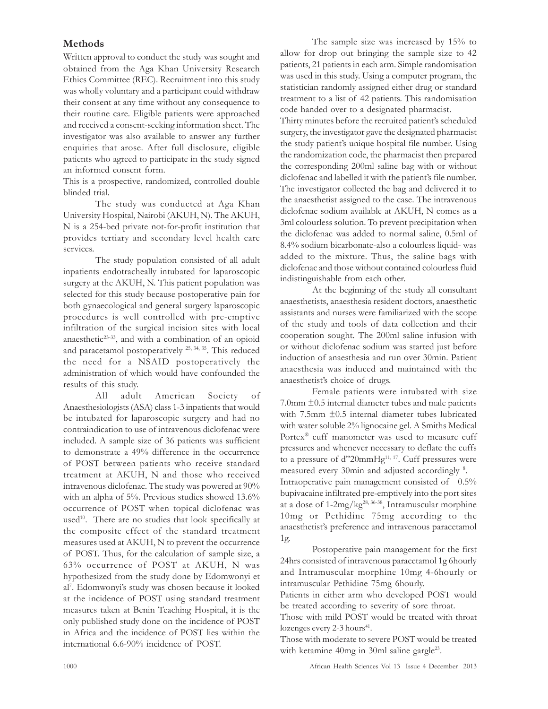# Methods

Written approval to conduct the study was sought and obtained from the Aga Khan University Research Ethics Committee (REC). Recruitment into this study was wholly voluntary and a participant could withdraw their consent at any time without any consequence to their routine care. Eligible patients were approached and received a consent-seeking information sheet. The investigator was also available to answer any further enquiries that arose. After full disclosure, eligible patients who agreed to participate in the study signed an informed consent form.

This is a prospective, randomized, controlled double blinded trial.

The study was conducted at Aga Khan University Hospital, Nairobi (AKUH, N). The AKUH, N is a 254-bed private not-for-profit institution that provides tertiary and secondary level health care services.

The study population consisted of all adult inpatients endotracheally intubated for laparoscopic surgery at the AKUH, N. This patient population was selected for this study because postoperative pain for both gynaecological and general surgery laparoscopic procedures is well controlled with pre-emptive infiltration of the surgical incision sites with local anaesthetic<sup>23-33</sup>, and with a combination of an opioid and paracetamol postoperatively 25, 34, 35. This reduced the need for a NSAID postoperatively the administration of which would have confounded the results of this study.

All adult American Society of Anaesthesiologists (ASA) class 1-3 inpatients that would be intubated for laparoscopic surgery and had no contraindication to use of intravenous diclofenac were included. A sample size of 36 patients was sufficient to demonstrate a 49% difference in the occurrence of POST between patients who receive standard treatment at AKUH, N and those who received intravenous diclofenac. The study was powered at 90% with an alpha of 5%. Previous studies showed 13.6% occurrence of POST when topical diclofenac was used<sup>10</sup>. There are no studies that look specifically at the composite effect of the standard treatment measures used at AKUH, N to prevent the occurrence of POST. Thus, for the calculation of sample size, a 63% occurrence of POST at AKUH, N was hypothesized from the study done by Edomwonyi et al7 . Edomwonyi's study was chosen because it looked at the incidence of POST using standard treatment measures taken at Benin Teaching Hospital, it is the only published study done on the incidence of POST in Africa and the incidence of POST lies within the international 6.6-90% incidence of POST.

The sample size was increased by 15% to allow for drop out bringing the sample size to 42 patients, 21 patients in each arm. Simple randomisation was used in this study. Using a computer program, the statistician randomly assigned either drug or standard treatment to a list of 42 patients. This randomisation code handed over to a designated pharmacist.

Thirty minutes before the recruited patient's scheduled surgery, the investigator gave the designated pharmacist the study patient's unique hospital file number. Using the randomization code, the pharmacist then prepared the corresponding 200ml saline bag with or without diclofenac and labelled it with the patient's file number. The investigator collected the bag and delivered it to the anaesthetist assigned to the case. The intravenous diclofenac sodium available at AKUH, N comes as a 3ml colourless solution. To prevent precipitation when the diclofenac was added to normal saline, 0.5ml of 8.4% sodium bicarbonate-also a colourless liquid- was added to the mixture. Thus, the saline bags with diclofenac and those without contained colourless fluid indistinguishable from each other.

At the beginning of the study all consultant anaesthetists, anaesthesia resident doctors, anaesthetic assistants and nurses were familiarized with the scope of the study and tools of data collection and their cooperation sought. The 200ml saline infusion with or without diclofenac sodium was started just before induction of anaesthesia and run over 30min. Patient anaesthesia was induced and maintained with the anaesthetist's choice of drugs.

Female patients were intubated with size 7.0mm ±0.5 internal diameter tubes and male patients with 7.5mm ±0.5 internal diameter tubes lubricated with water soluble 2% lignocaine gel. A Smiths Medical Portex ® cuff manometer was used to measure cuff pressures and whenever necessary to deflate the cuffs to a pressure of d"20mm $Hg<sup>11, 17</sup>$ . Cuff pressures were measured every 30min and adjusted accordingly <sup>8</sup> . Intraoperative pain management consisted of 0.5% bupivacaine infiltrated pre-emptively into the port sites at a dose of 1-2mg/kg28, 36-38, Intramuscular morphine 10mg or Pethidine 75mg according to the anaesthetist's preference and intravenous paracetamol 1g.

Postoperative pain management for the first 24hrs consisted of intravenous paracetamol 1g 6hourly and Intramuscular morphine 10mg 4-6hourly or intramuscular Pethidine 75mg 6hourly.

Patients in either arm who developed POST would be treated according to severity of sore throat.

Those with mild POST would be treated with throat lozenges every 2-3 hours<sup>41</sup>.

Those with moderate to severe POST would be treated with ketamine 40mg in 30ml saline gargle<sup>23</sup>.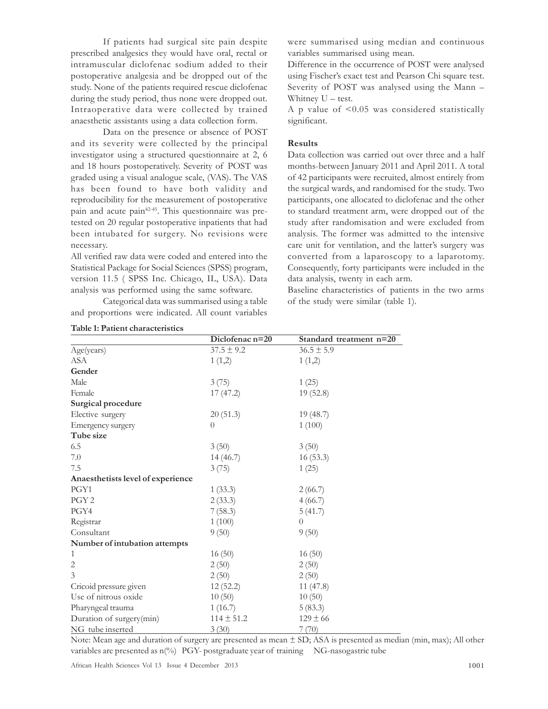If patients had surgical site pain despite prescribed analgesics they would have oral, rectal or intramuscular diclofenac sodium added to their postoperative analgesia and be dropped out of the study. None of the patients required rescue diclofenac during the study period, thus none were dropped out. Intraoperative data were collected by trained anaesthetic assistants using a data collection form.

Data on the presence or absence of POST and its severity were collected by the principal investigator using a structured questionnaire at 2, 6 and 18 hours postoperatively. Severity of POST was graded using a visual analogue scale, (VAS). The VAS has been found to have both validity and reproducibility for the measurement of postoperative pain and acute pain<sup>42-45</sup>. This questionnaire was pretested on 20 regular postoperative inpatients that had been intubated for surgery. No revisions were necessary.

All verified raw data were coded and entered into the Statistical Package for Social Sciences (SPSS) program, version 11.5 ( SPSS Inc. Chicago, IL, USA). Data analysis was performed using the same software.

Categorical data was summarised using a table and proportions were indicated. All count variables

were summarised using median and continuous variables summarised using mean.

Difference in the occurrence of POST were analysed using Fischer's exact test and Pearson Chi square test. Severity of POST was analysed using the Mann – Whitney U – test.

A p value of <0.05 was considered statistically significant.

### Results

Data collection was carried out over three and a half months-between January 2011 and April 2011. A total of 42 participants were recruited, almost entirely from the surgical wards, and randomised for the study. Two participants, one allocated to diclofenac and the other to standard treatment arm, were dropped out of the study after randomisation and were excluded from analysis. The former was admitted to the intensive care unit for ventilation, and the latter's surgery was converted from a laparoscopy to a laparotomy. Consequently, forty participants were included in the data analysis, twenty in each arm.

Baseline characteristics of patients in the two arms of the study were similar (table 1).

|                                   | Diclofenac n=20 | Standard treatment n=20 |
|-----------------------------------|-----------------|-------------------------|
| Age(years)                        | $37.5 \pm 9.2$  | $36.5 \pm 5.9$          |
| <b>ASA</b>                        | 1(1,2)          | 1(1,2)                  |
| Gender                            |                 |                         |
| Male                              | 3(75)           | 1(25)                   |
| Female                            | 17(47.2)        | 19(52.8)                |
| Surgical procedure                |                 |                         |
| Elective surgery                  | 20(51.3)        | 19(48.7)                |
| Emergency surgery                 | $\Omega$        | 1(100)                  |
| Tube size                         |                 |                         |
| 6.5                               | 3(50)           | 3(50)                   |
| 7.0                               | 14(46.7)        | 16(53.3)                |
| 7.5                               | 3(75)           | 1(25)                   |
| Anaesthetists level of experience |                 |                         |
| PGY1                              | 1(33.3)         | 2(66.7)                 |
| PGY <sub>2</sub>                  | 2(33.3)         | 4(66.7)                 |
| PGY4                              | 7(58.3)         | 5(41.7)                 |
| Registrar                         | 1(100)          | $\theta$                |
| Consultant                        | 9(50)           | 9(50)                   |
| Number of intubation attempts     |                 |                         |
| 1                                 | 16(50)          | 16(50)                  |
| $\overline{2}$                    | 2(50)           | 2(50)                   |
| 3                                 | 2(50)           | 2(50)                   |
| Cricoid pressure given            | 12(52.2)        | 11(47.8)                |
| Use of nitrous oxide              | 10(50)          | 10(50)                  |
| Pharyngeal trauma                 | 1(16.7)         | 5(83.3)                 |
| Duration of surgery(min)          | $114 \pm 51.2$  | $129 \pm 66$            |
| NG tube inserted                  | 3(30)           | 7(70)                   |

Note: Mean age and duration of surgery are presented as mean ± SD; ASA is presented as median (min, max); All other variables are presented as  $n(\%)$  PGY- postgraduate year of training NG-nasogastric tube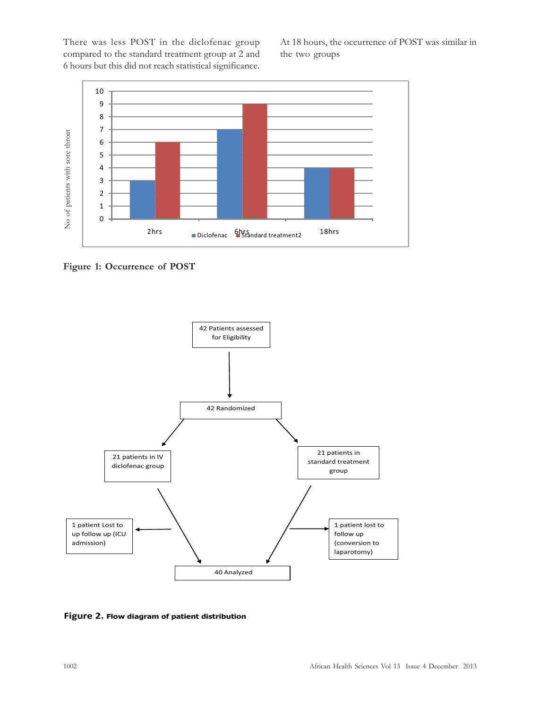There was less POST in the diclofenac group compared to the standard treatment group at 2 and 6 hours but this did not reach statistical significance.

At 18 hours, the occurrence of POST was similar in the two groups



Figure 1: Occurrence of POST



Figure 2. Flow diagram of patient distribution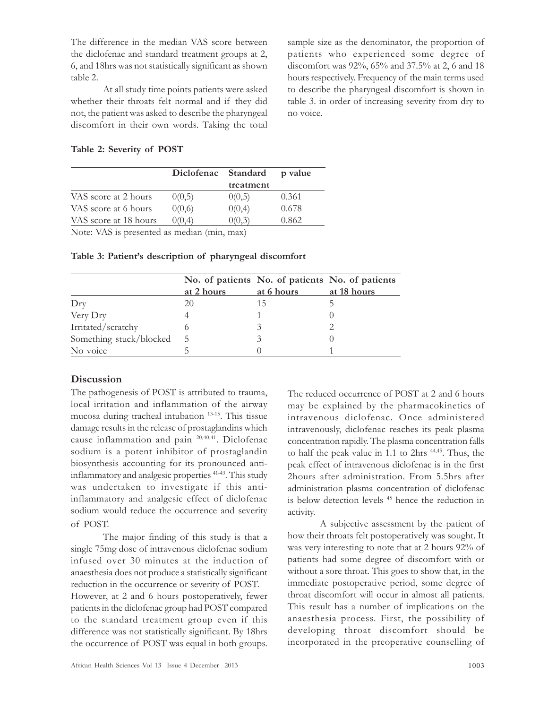The difference in the median VAS score between the diclofenac and standard treatment groups at 2, 6, and 18hrs was not statistically significant as shown table 2.

At all study time points patients were asked whether their throats felt normal and if they did not, the patient was asked to describe the pharyngeal discomfort in their own words. Taking the total sample size as the denominator, the proportion of patients who experienced some degree of discomfort was 92%, 65% and 37.5% at 2, 6 and 18 hours respectively. Frequency of the main terms used to describe the pharyngeal discomfort is shown in table 3. in order of increasing severity from dry to no voice.

Table 2: Severity of POST

| Diclofenac |           | p value  |
|------------|-----------|----------|
|            | treatment |          |
| 0(0,5)     | 0(0,5)    | 0.361    |
| 0(0,6)     | 0(0,4)    | 0.678    |
| 0(0.4)     | 0(0,3)    | 0.862    |
|            |           | Standard |

Note: VAS is presented as median (min, max)

|                         |               | No. of patients No. of patients No. of patients |             |
|-------------------------|---------------|-------------------------------------------------|-------------|
|                         | at 2 hours    | at 6 hours                                      | at 18 hours |
| Drv                     | 20            | 15                                              |             |
| Very Dry                |               |                                                 |             |
| Irritated/scratchy      |               |                                                 |             |
| Something stuck/blocked | $\mathcal{D}$ |                                                 |             |
| No voice                |               |                                                 |             |

Table 3: Patient's description of pharyngeal discomfort

# **Discussion**

The pathogenesis of POST is attributed to trauma, local irritation and inflammation of the airway mucosa during tracheal intubation 13-15. This tissue damage results in the release of prostaglandins which cause inflammation and pain 20,40,41. Diclofenac sodium is a potent inhibitor of prostaglandin biosynthesis accounting for its pronounced antiinflammatory and analgesic properties 41-43. This study was undertaken to investigate if this antiinflammatory and analgesic effect of diclofenac sodium would reduce the occurrence and severity of POST.

The major finding of this study is that a single 75mg dose of intravenous diclofenac sodium infused over 30 minutes at the induction of anaesthesia does not produce a statistically significant reduction in the occurrence or severity of POST. However, at 2 and 6 hours postoperatively, fewer patients in the diclofenac group had POST compared to the standard treatment group even if this difference was not statistically significant. By 18hrs the occurrence of POST was equal in both groups. The reduced occurrence of POST at 2 and 6 hours may be explained by the pharmacokinetics of intravenous diclofenac. Once administered intravenously, diclofenac reaches its peak plasma concentration rapidly. The plasma concentration falls to half the peak value in 1.1 to 2hrs  $44,45$ . Thus, the peak effect of intravenous diclofenac is in the first 2hours after administration. From 5.5hrs after administration plasma concentration of diclofenac is below detection levels <sup>45</sup> hence the reduction in activity.

A subjective assessment by the patient of how their throats felt postoperatively was sought. It was very interesting to note that at 2 hours 92% of patients had some degree of discomfort with or without a sore throat. This goes to show that, in the immediate postoperative period, some degree of throat discomfort will occur in almost all patients. This result has a number of implications on the anaesthesia process. First, the possibility of developing throat discomfort should be incorporated in the preoperative counselling of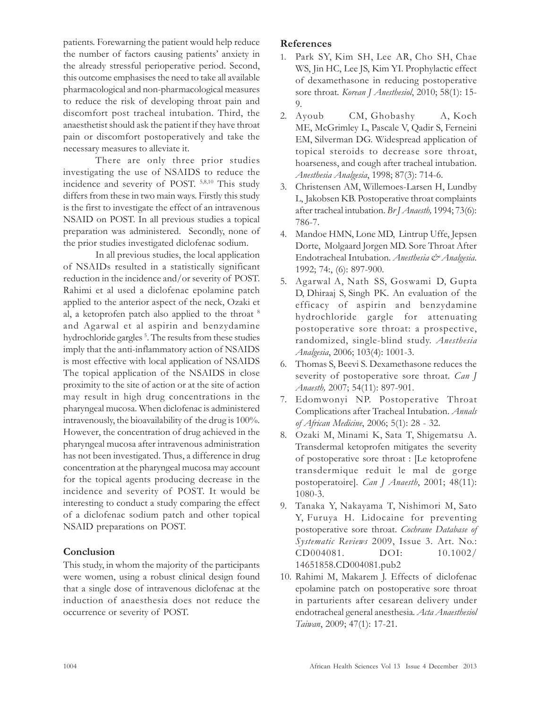patients. Forewarning the patient would help reduce the number of factors causing patients' anxiety in the already stressful perioperative period. Second, this outcome emphasises the need to take all available pharmacological and non-pharmacological measures to reduce the risk of developing throat pain and discomfort post tracheal intubation. Third, the anaesthetist should ask the patient if they have throat pain or discomfort postoperatively and take the necessary measures to alleviate it.

There are only three prior studies investigating the use of NSAIDS to reduce the incidence and severity of POST. 5,8,10 This study differs from these in two main ways. Firstly this study is the first to investigate the effect of an intravenous NSAID on POST. In all previous studies a topical preparation was administered. Secondly, none of the prior studies investigated diclofenac sodium.

In all previous studies, the local application of NSAIDs resulted in a statistically significant reduction in the incidence and/or severity of POST. Rahimi et al used a diclofenac epolamine patch applied to the anterior aspect of the neck, Ozaki et al, a ketoprofen patch also applied to the throat <sup>8</sup> and Agarwal et al aspirin and benzydamine hydrochloride gargles <sup>5</sup> . The results from these studies imply that the anti-inflammatory action of NSAIDS is most effective with local application of NSAIDS The topical application of the NSAIDS in close proximity to the site of action or at the site of action may result in high drug concentrations in the pharyngeal mucosa. When diclofenac is administered intravenously, the bioavailability of the drug is 100%. However, the concentration of drug achieved in the pharyngeal mucosa after intravenous administration has not been investigated. Thus, a difference in drug concentration at the pharyngeal mucosa may account for the topical agents producing decrease in the incidence and severity of POST. It would be interesting to conduct a study comparing the effect of a diclofenac sodium patch and other topical NSAID preparations on POST.

# Conclusion

This study, in whom the majority of the participants were women, using a robust clinical design found that a single dose of intravenous diclofenac at the induction of anaesthesia does not reduce the occurrence or severity of POST.

# References

- 1. Park SY, Kim SH, Lee AR, Cho SH, Chae WS, Jin HC, Lee JS, Kim YI. Prophylactic effect of dexamethasone in reducing postoperative sore throat. Korean J Anesthesiol, 2010; 58(1): 15-9.
- 2. Ayoub CM, Ghobashy A, Koch ME, McGrimley L, Pascale V, Qadir S, Ferneini EM, Silverman DG. Widespread application of topical steroids to decrease sore throat, hoarseness, and cough after tracheal intubation. Anesthesia Analgesia, 1998; 87(3): 714-6.
- 3. Christensen AM, Willemoes-Larsen H, Lundby L, Jakobsen KB. Postoperative throat complaints after tracheal intubation. Br J Anaesth, 1994; 73(6): 786-7.
- 4. Mandoe HMN, Lone MD, Lintrup Uffe, Jepsen Dorte, Molgaard Jorgen MD. Sore Throat After Endotracheal Intubation. Anesthesia & Analgesia. 1992; 74:, (6): 897-900.
- 5. Agarwal A, Nath SS, Goswami D, Gupta D, Dhiraaj S, Singh PK. An evaluation of the efficacy of aspirin and benzydamine hydrochloride gargle for attenuating postoperative sore throat: a prospective, randomized, single-blind study. Anesthesia Analgesia, 2006; 103(4): 1001-3.
- 6. Thomas S, Beevi S. Dexamethasone reduces the severity of postoperative sore throat. *Can* J Anaesth, 2007; 54(11): 897-901.
- 7. Edomwonyi NP. Postoperative Throat Complications after Tracheal Intubation. Annals of African Medicine, 2006; 5(1): 28 - 32.
- 8. Ozaki M, Minami K, Sata T, Shigematsu A. Transdermal ketoprofen mitigates the severity of postoperative sore throat : [Le ketoprofene transdermique reduit le mal de gorge postoperatoire]. Can J Anaesth, 2001; 48(11): 1080-3.
- 9. Tanaka Y, Nakayama T, Nishimori M, Sato Y, Furuya H. Lidocaine for preventing postoperative sore throat. Cochrane Database of Systematic Reviews 2009, Issue 3. Art. No.: CD004081. DOI: 10.1002/ 14651858.CD004081.pub2
- 10. Rahimi M, Makarem J. Effects of diclofenac epolamine patch on postoperative sore throat in parturients after cesarean delivery under endotracheal general anesthesia. Acta Anaesthesiol Taiwan, 2009; 47(1): 17-21.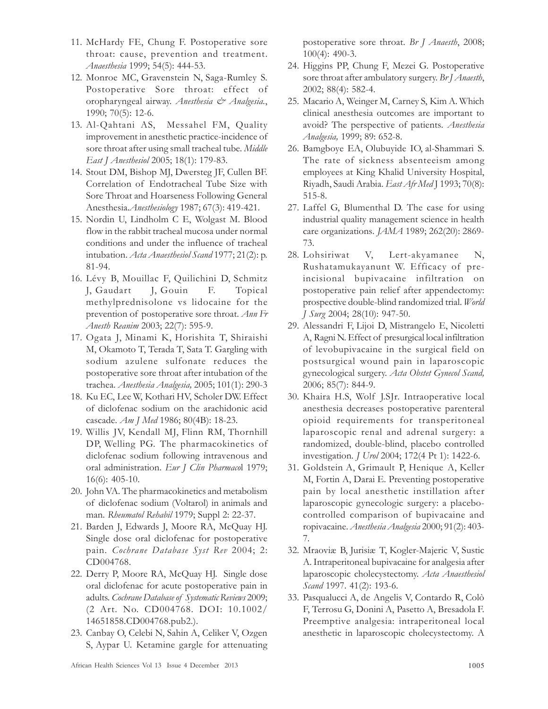- 11. McHardy FE, Chung F. Postoperative sore throat: cause, prevention and treatment. Anaesthesia 1999; 54(5): 444-53.
- 12. Monroe MC, Gravenstein N, Saga-Rumley S. Postoperative Sore throat: effect of oropharyngeal airway. Anesthesia & Analgesia., 1990; 70(5): 12-6.
- 13. Al-Qahtani AS, Messahel FM, Quality improvement in anesthetic practice-incidence of sore throat after using small tracheal tube. Middle East J Anesthesiol 2005; 18(1): 179-83.
- 14. Stout DM, Bishop MJ, Dwersteg JF, Cullen BF. Correlation of Endotracheal Tube Size with Sore Throat and Hoarseness Following General Anesthesia.Anesthesiology 1987; 67(3): 419-421.
- 15. Nordin U, Lindholm C E, Wolgast M. Blood flow in the rabbit tracheal mucosa under normal conditions and under the influence of tracheal intubation. Acta Anaesthesiol Scand 1977; 21(2): p. 81-94.
- 16. Lévy B, Mouillac F, Quilichini D, Schmitz J, Gaudart J, Gouin F. Topical methylprednisolone vs lidocaine for the prevention of postoperative sore throat. Ann Fr Anesth Reanim 2003; 22(7): 595-9.
- 17. Ogata J, Minami K, Horishita T, Shiraishi M, Okamoto T, Terada T, Sata T. Gargling with sodium azulene sulfonate reduces the postoperative sore throat after intubation of the trachea. Anesthesia Analgesia, 2005; 101(1): 290-3
- 18. Ku EC, Lee W, Kothari HV, Scholer DW. Effect of diclofenac sodium on the arachidonic acid cascade. Am J Med 1986; 80(4B): 18-23.
- 19. Willis JV, Kendall MJ, Flinn RM, Thornhill DP, Welling PG. The pharmacokinetics of diclofenac sodium following intravenous and oral administration. Eur J Clin Pharmacol 1979; 16(6): 405-10.
- 20. John VA. The pharmacokinetics and metabolism of diclofenac sodium (Voltarol) in animals and man. Rheumatol Rehabil 1979; Suppl 2: 22-37.
- 21. Barden J, Edwards J, Moore RA, McQuay HJ. Single dose oral diclofenac for postoperative pain. Cochrane Database Syst Rev 2004; 2: CD004768.
- 22. Derry P, Moore RA, McQuay HJ. Single dose oral diclofenac for acute postoperative pain in adults. Cochrane Database of Systematic Reviews 2009; (2 Art. No. CD004768. DOI: 10.1002/ 14651858.CD004768.pub2.).
- 23. Canbay O, Celebi N, Sahin A, Celiker V, Ozgen S, Aypar U. Ketamine gargle for attenuating

postoperative sore throat. Br J Anaesth, 2008; 100(4): 490-3.

- 24. Higgins PP, Chung F, Mezei G. Postoperative sore throat after ambulatory surgery. Br J Anaesth, 2002; 88(4): 582-4.
- 25. Macario A, Weinger M, Carney S, Kim A. Which clinical anesthesia outcomes are important to avoid? The perspective of patients. Anesthesia Analgesia, 1999; 89: 652-8.
- 26. Bamgboye EA, Olubuyide IO, al-Shammari S. The rate of sickness absenteeism among employees at King Khalid University Hospital, Riyadh, Saudi Arabia. East Afr Med J 1993; 70(8): 515-8.
- 27. Laffel G, Blumenthal D. The case for using industrial quality management science in health care organizations. JAMA 1989; 262(20): 2869- 73.
- 28. Lohsiriwat V, Lert-akyamanee N, Rushatamukayanunt W. Efficacy of preincisional bupivacaine infiltration postoperative pain relief after appendectomy: prospective double-blind randomized trial. World J Surg 2004; 28(10): 947-50.
- 29. Alessandri F, Lijoi D, Mistrangelo E, Nicoletti A, Ragni N. Effect of presurgical local infiltration of levobupivacaine in the surgical field on postsurgical wound pain in laparoscopic gynecological surgery. Acta Obstet Gynecol Scand, 2006; 85(7): 844-9.
- 30. Khaira H.S, Wolf J.SJr. Intraoperative local anesthesia decreases postoperative parenteral opioid requirements for transperitoneal laparoscopic renal and adrenal surgery: a randomized, double-blind, placebo controlled investigation. J Urol 2004; 172(4 Pt 1): 1422-6.
- 31. Goldstein A, Grimault P, Henique A, Keller M, Fortin A, Darai E. Preventing postoperative pain by local anesthetic instillation after laparoscopic gynecologic surgery: a placebocontrolled comparison of bupivacaine and ropivacaine. Anesthesia Analgesia 2000; 91(2): 403- 7.
- 32. Mraoviæ B, Jurisiæ T, Kogler-Majeric V, Sustic A. Intraperitoneal bupivacaine for analgesia after laparoscopic cholecystectomy. Acta Anaesthesiol Scand 1997. 41(2): 193-6.
- 33. Pasqualucci A, de Angelis V, Contardo R, Colò F, Terrosu G, Donini A, Pasetto A, Bresadola F. Preemptive analgesia: intraperitoneal local anesthetic in laparoscopic cholecystectomy. A